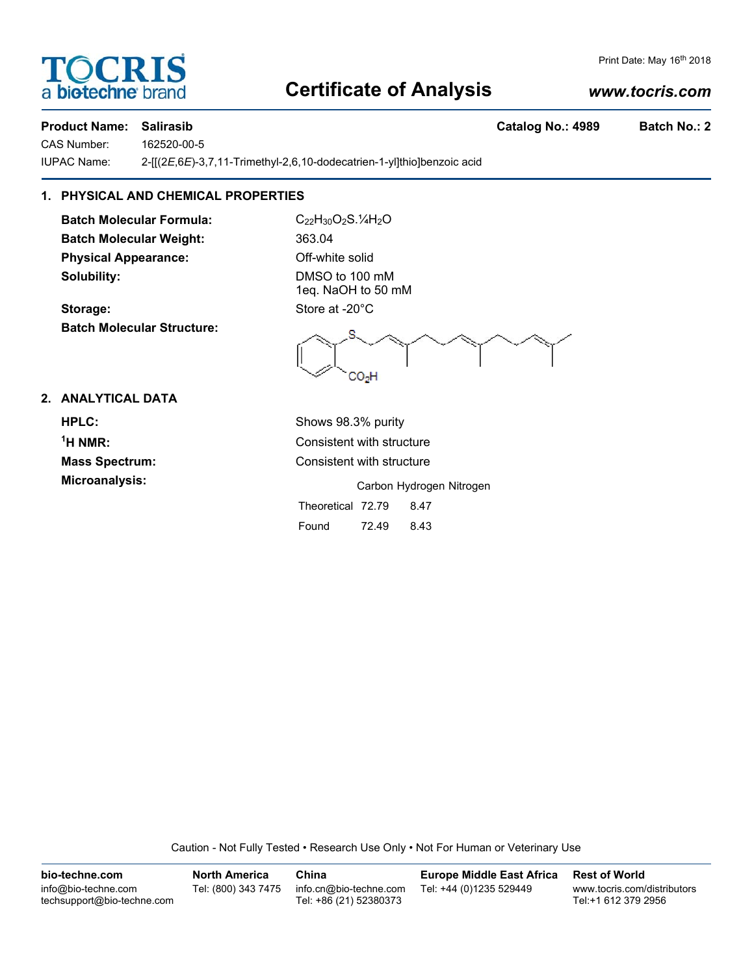## **Certificate of Analysis**

### *www.tocris.com*

#### **Product Name: Salirasib Catalog No.: 4989 Batch No.: 2**

CAS Number: 162520-00-5 IUPAC Name: 2-[[(2*E*,6*E*)-3,7,11-Trimethyl-2,6,10-dodecatrien-1-yl]thio]benzoic acid

### **1. PHYSICAL AND CHEMICAL PROPERTIES**

**Batch Molecular Formula:** C<sub>22</sub>H<sub>30</sub>O<sub>2</sub>S.<sup>1</sup>/<sub>4</sub>H<sub>2</sub>O **Batch Molecular Weight:** 363.04 **Physical Appearance:** Off-white solid **Solubility:** DMSO to 100 mM

**Batch Molecular Structure:**

1eq. NaOH to 50 mM Storage: Store at -20°C

#### **2. ANALYTICAL DATA**

**HPLC:** Shows 98.3% purity  $1$ <sup>H</sup> NMR $\cdot$ 

**Consistent with structure Mass Spectrum:** Consistent with structure

**Microanalysis:** Microanalysis: **Carbon Hydrogen Nitrogen** Theoretical 72.79 8.47 Found 72.49 8.43

Caution - Not Fully Tested • Research Use Only • Not For Human or Veterinary Use

**bio-techne.com** info@bio-techne.com techsupport@bio-techne.com **North America** Tel: (800) 343 7475 **China** info.cn@bio-techne.com Tel: +86 (21) 52380373 **Europe Middle East Africa** Tel: +44 (0)1235 529449 **Rest of World** www.tocris.com/distributors Tel:+1 612 379 2956



Print Date: May 16<sup>th</sup> 2018